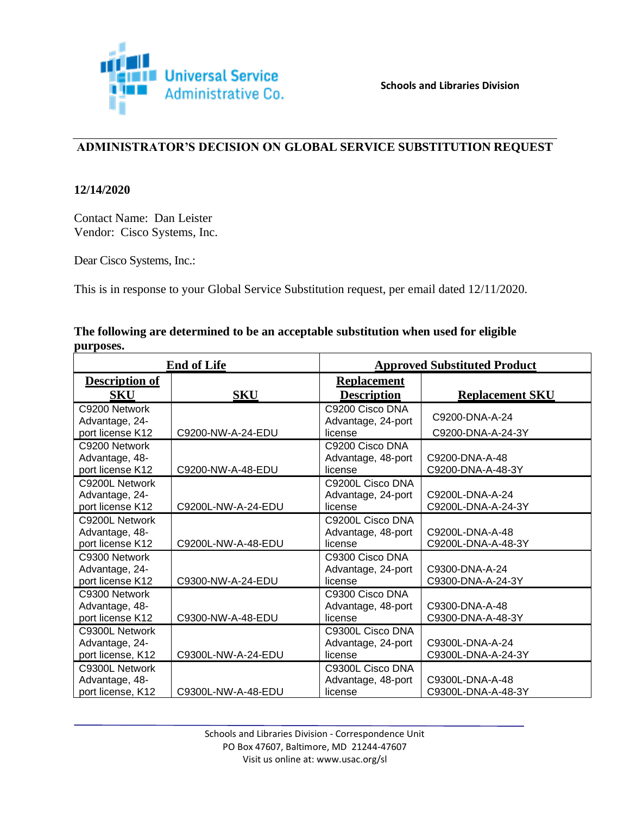

# **ADMINISTRATOR'S DECISION ON GLOBAL SERVICE SUBSTITUTION REQUEST**

### **12/14/2020**

Contact Name: Dan Leister Vendor: Cisco Systems, Inc.

Dear Cisco Systems, Inc.:

This is in response to your Global Service Substitution request, per email dated 12/11/2020.

## **The following are determined to be an acceptable substitution when used for eligible purposes.**

| <b>End of Life</b>                                    |                    | <b>Approved Substituted Product</b>               |                                       |  |
|-------------------------------------------------------|--------------------|---------------------------------------------------|---------------------------------------|--|
| <b>Description of</b><br>SKU                          | <b>SKU</b>         | <b>Replacement</b><br><b>Description</b>          | <b>Replacement SKU</b>                |  |
| C9200 Network<br>Advantage, 24-<br>port license K12   | C9200-NW-A-24-EDU  | C9200 Cisco DNA<br>Advantage, 24-port<br>license  | C9200-DNA-A-24<br>C9200-DNA-A-24-3Y   |  |
| C9200 Network<br>Advantage, 48-<br>port license K12   | C9200-NW-A-48-EDU  | C9200 Cisco DNA<br>Advantage, 48-port<br>license  | C9200-DNA-A-48<br>C9200-DNA-A-48-3Y   |  |
| C9200L Network<br>Advantage, 24-<br>port license K12  | C9200L-NW-A-24-EDU | C9200L Cisco DNA<br>Advantage, 24-port<br>license | C9200L-DNA-A-24<br>C9200L-DNA-A-24-3Y |  |
| C9200L Network<br>Advantage, 48-<br>port license K12  | C9200L-NW-A-48-EDU | C9200L Cisco DNA<br>Advantage, 48-port<br>license | C9200L-DNA-A-48<br>C9200L-DNA-A-48-3Y |  |
| C9300 Network<br>Advantage, 24-<br>port license K12   | C9300-NW-A-24-EDU  | C9300 Cisco DNA<br>Advantage, 24-port<br>license  | C9300-DNA-A-24<br>C9300-DNA-A-24-3Y   |  |
| C9300 Network<br>Advantage, 48-<br>port license K12   | C9300-NW-A-48-EDU  | C9300 Cisco DNA<br>Advantage, 48-port<br>license  | C9300-DNA-A-48<br>C9300-DNA-A-48-3Y   |  |
| C9300L Network<br>Advantage, 24-<br>port license, K12 | C9300L-NW-A-24-EDU | C9300L Cisco DNA<br>Advantage, 24-port<br>license | C9300L-DNA-A-24<br>C9300L-DNA-A-24-3Y |  |
| C9300L Network<br>Advantage, 48-<br>port license, K12 | C9300L-NW-A-48-EDU | C9300L Cisco DNA<br>Advantage, 48-port<br>license | C9300L-DNA-A-48<br>C9300L-DNA-A-48-3Y |  |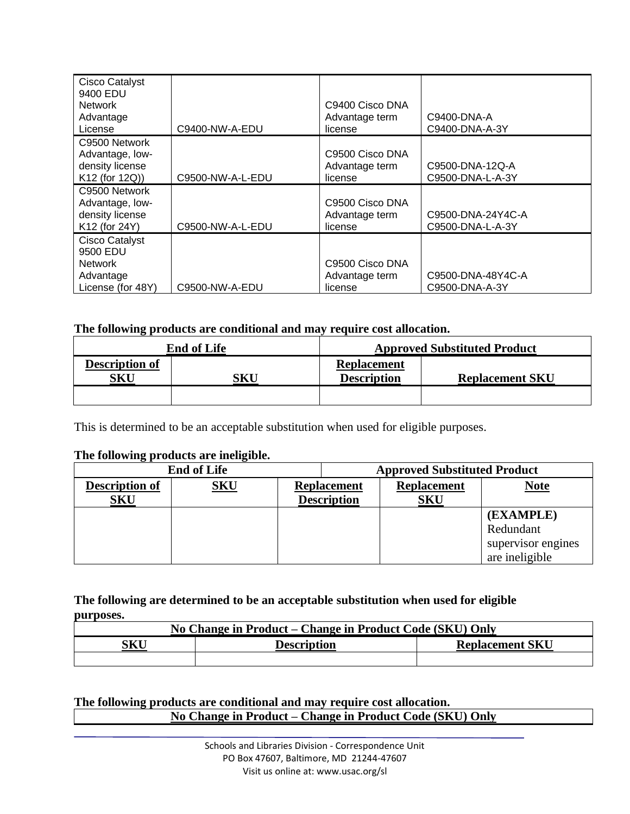| Cisco Catalyst<br>9400 EDU<br><b>Network</b><br>Advantage<br>License           | C9400-NW-A-EDU   | C9400 Cisco DNA<br>Advantage term<br>license | C9400-DNA-A<br>C9400-DNA-A-3Y         |
|--------------------------------------------------------------------------------|------------------|----------------------------------------------|---------------------------------------|
| C9500 Network<br>Advantage, low-<br>density license<br>K12 (for 12Q))          | C9500-NW-A-L-EDU | C9500 Cisco DNA<br>Advantage term<br>license | C9500-DNA-12Q-A<br>C9500-DNA-L-A-3Y   |
| C9500 Network<br>Advantage, low-<br>density license<br>K12 (for 24Y)           | C9500-NW-A-L-EDU | C9500 Cisco DNA<br>Advantage term<br>license | C9500-DNA-24Y4C-A<br>C9500-DNA-L-A-3Y |
| Cisco Catalyst<br>9500 EDU<br><b>Network</b><br>Advantage<br>License (for 48Y) | C9500-NW-A-EDU   | C9500 Cisco DNA<br>Advantage term<br>license | C9500-DNA-48Y4C-A<br>C9500-DNA-A-3Y   |

# **The following products are conditional and may require cost allocation.**

| <b>End of Life</b>           |     | <b>Approved Substituted Product</b>      |                        |  |
|------------------------------|-----|------------------------------------------|------------------------|--|
| <b>Description of</b><br>SKU | SKU | <b>Replacement</b><br><b>Description</b> | <b>Replacement SKU</b> |  |
|                              |     |                                          |                        |  |

This is determined to be an acceptable substitution when used for eligible purposes.

### **The following products are ineligible.**

| <b>End of Life</b>    |            | <b>Approved Substituted Product</b> |                    |                    |  |                    |
|-----------------------|------------|-------------------------------------|--------------------|--------------------|--|--------------------|
| <b>Description of</b> | <u>SKU</u> | <b>Replacement</b>                  |                    | <b>Replacement</b> |  | <b>Note</b>        |
| <b>SKU</b>            |            |                                     | <b>Description</b> | SKU                |  |                    |
|                       |            |                                     |                    |                    |  | (EXAMPLE)          |
|                       |            |                                     |                    |                    |  | Redundant          |
|                       |            |                                     |                    |                    |  | supervisor engines |
|                       |            |                                     |                    |                    |  | are ineligible     |

### **The following are determined to be an acceptable substitution when used for eligible purposes.**

| No Change in Product – Change in Product Code (SKU) Only |                        |  |  |
|----------------------------------------------------------|------------------------|--|--|
| SKU                                                      | <b>Replacement SKU</b> |  |  |
|                                                          |                        |  |  |

# **The following products are conditional and may require cost allocation. No Change in Product – Change in Product Code (SKU) Only**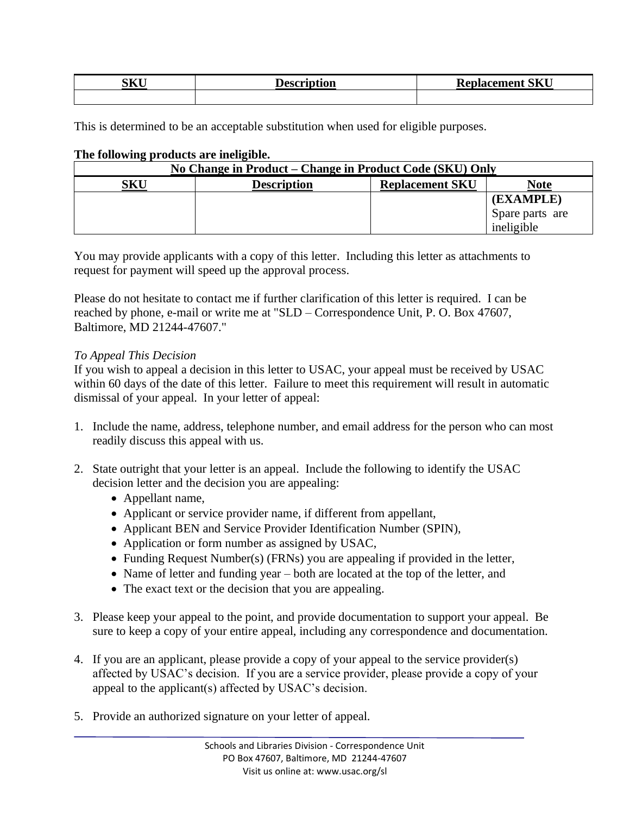| <b>ATZT</b><br>. K. I<br><b>NTTA</b> | vu | <b>CITZIT</b><br>T.<br>$- -$<br>∍J∆U<br>-- |  |
|--------------------------------------|----|--------------------------------------------|--|
|                                      |    |                                            |  |

This is determined to be an acceptable substitution when used for eligible purposes.

| The following products are ineligible. |
|----------------------------------------|
|----------------------------------------|

| No Change in Product – Change in Product Code (SKU) Only |                    |                        |                 |
|----------------------------------------------------------|--------------------|------------------------|-----------------|
| <b>SKU</b>                                               | <b>Description</b> | <b>Replacement SKU</b> | <b>Note</b>     |
|                                                          |                    |                        | (EXAMPLE)       |
|                                                          |                    |                        | Spare parts are |
|                                                          |                    |                        | ineligible      |

You may provide applicants with a copy of this letter. Including this letter as attachments to request for payment will speed up the approval process.

Please do not hesitate to contact me if further clarification of this letter is required. I can be reached by phone, e-mail or write me at "SLD – Correspondence Unit, P. O. Box 47607, Baltimore, MD 21244-47607."

#### *To Appeal This Decision*

If you wish to appeal a decision in this letter to USAC, your appeal must be received by USAC within 60 days of the date of this letter. Failure to meet this requirement will result in automatic dismissal of your appeal. In your letter of appeal:

- 1. Include the name, address, telephone number, and email address for the person who can most readily discuss this appeal with us.
- 2. State outright that your letter is an appeal. Include the following to identify the USAC decision letter and the decision you are appealing:
	- Appellant name,
	- Applicant or service provider name, if different from appellant,
	- Applicant BEN and Service Provider Identification Number (SPIN),
	- Application or form number as assigned by USAC,
	- Funding Request Number(s) (FRNs) you are appealing if provided in the letter,
	- Name of letter and funding year both are located at the top of the letter, and
	- The exact text or the decision that you are appealing.
- 3. Please keep your appeal to the point, and provide documentation to support your appeal. Be sure to keep a copy of your entire appeal, including any correspondence and documentation.
- 4. If you are an applicant, please provide a copy of your appeal to the service provider(s) affected by USAC's decision. If you are a service provider, please provide a copy of your appeal to the applicant(s) affected by USAC's decision.
- 5. Provide an authorized signature on your letter of appeal.